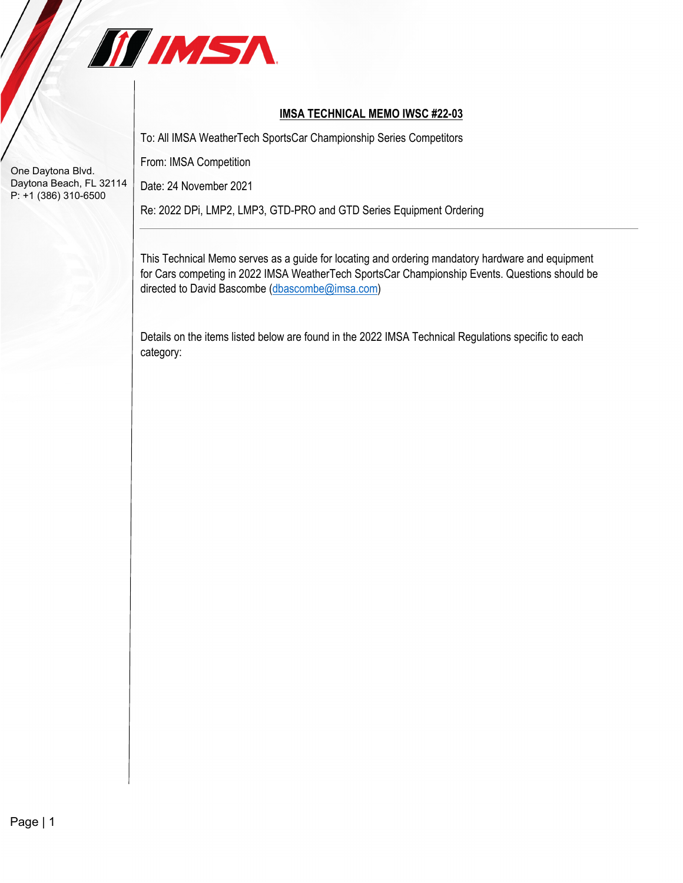

## **IMSA TECHNICAL MEMO IWSC #22-03**

To: All IMSA WeatherTech SportsCar Championship Series Competitors

From: IMSA Competition

Date: 24 November 2021

Re: 2022 DPi, LMP2, LMP3, GTD-PRO and GTD Series Equipment Ordering

This Technical Memo serves as a guide for locating and ordering mandatory hardware and equipment for Cars competing in 2022 IMSA WeatherTech SportsCar Championship Events. Questions should be directed to David Bascombe [\(dbascombe@imsa.com\)](mailto:dbascombe@imsa.com)

Details on the items listed below are found in the 2022 IMSA Technical Regulations specific to each category: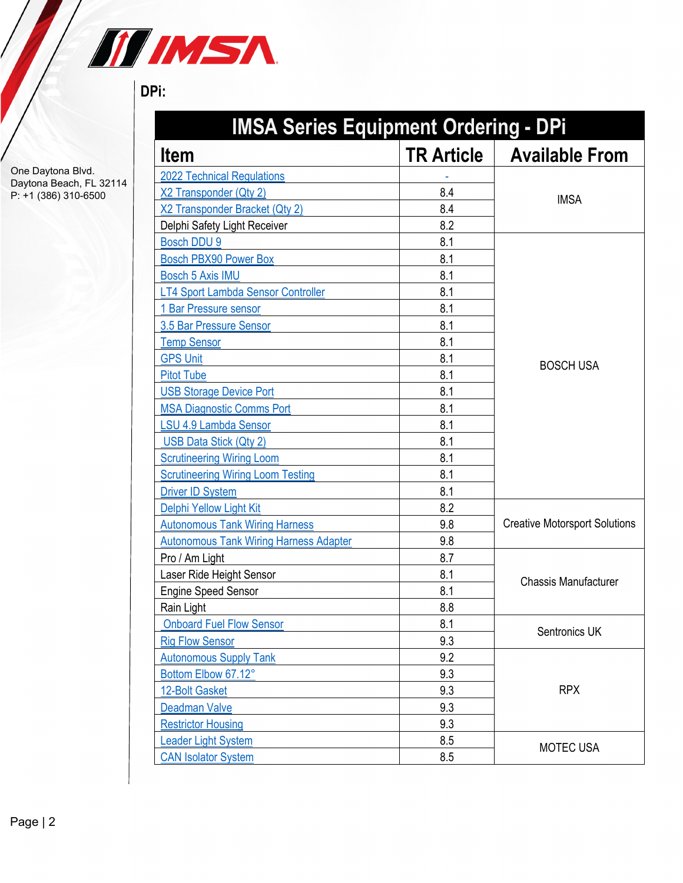

## **DPi:**

| <b>IMSA Series Equipment Ordering - DPi</b>   |                   |                                      |  |
|-----------------------------------------------|-------------------|--------------------------------------|--|
| <b>Item</b>                                   | <b>TR Article</b> | <b>Available From</b>                |  |
| <b>2022 Technical Regulations</b>             |                   |                                      |  |
| X2 Transponder (Qty 2)                        | 8.4               |                                      |  |
| X2 Transponder Bracket (Qty 2)                | 8.4               | <b>IMSA</b>                          |  |
| Delphi Safety Light Receiver                  | 8.2               |                                      |  |
| <b>Bosch DDU 9</b>                            | 8.1               |                                      |  |
| <b>Bosch PBX90 Power Box</b>                  | 8.1               |                                      |  |
| <b>Bosch 5 Axis IMU</b>                       | 8.1               |                                      |  |
| LT4 Sport Lambda Sensor Controller            | 8.1               |                                      |  |
| 1 Bar Pressure sensor                         | 8.1               |                                      |  |
| 3.5 Bar Pressure Sensor                       | 8.1               |                                      |  |
| <b>Temp Sensor</b>                            | 8.1               |                                      |  |
| <b>GPS Unit</b>                               | 8.1               | <b>BOSCH USA</b>                     |  |
| <b>Pitot Tube</b>                             | 8.1               |                                      |  |
| <b>USB Storage Device Port</b>                | 8.1               |                                      |  |
| <b>MSA Diagnostic Comms Port</b>              | 8.1               |                                      |  |
| <b>LSU 4.9 Lambda Sensor</b>                  | 8.1               |                                      |  |
| USB Data Stick (Qty 2)                        | 8.1               |                                      |  |
| <b>Scrutineering Wiring Loom</b>              | 8.1               |                                      |  |
| <b>Scrutineering Wiring Loom Testing</b>      | 8.1               |                                      |  |
| <b>Driver ID System</b>                       | 8.1               |                                      |  |
| Delphi Yellow Light Kit                       | 8.2               |                                      |  |
| <b>Autonomous Tank Wiring Harness</b>         | 9.8               | <b>Creative Motorsport Solutions</b> |  |
| <b>Autonomous Tank Wiring Harness Adapter</b> | 9.8               |                                      |  |
| Pro / Am Light                                | 8.7               |                                      |  |
| Laser Ride Height Sensor                      | 8.1               | <b>Chassis Manufacturer</b>          |  |
| <b>Engine Speed Sensor</b>                    | 8.1               |                                      |  |
| Rain Light                                    | 8.8               |                                      |  |
| <b>Onboard Fuel Flow Sensor</b>               | 8.1               | Sentronics UK                        |  |
| <b>Rig Flow Sensor</b>                        | 9.3               |                                      |  |
| <b>Autonomous Supply Tank</b>                 | 9.2               |                                      |  |
| Bottom Elbow 67.12°                           | 9.3               |                                      |  |
| 12-Bolt Gasket                                | 9.3               | <b>RPX</b>                           |  |
| <b>Deadman Valve</b>                          | 9.3               |                                      |  |
| <b>Restrictor Housing</b>                     | 9.3               |                                      |  |
| Leader Light System                           | 8.5               | MOTEC USA                            |  |
| <b>CAN Isolator System</b>                    | 8.5               |                                      |  |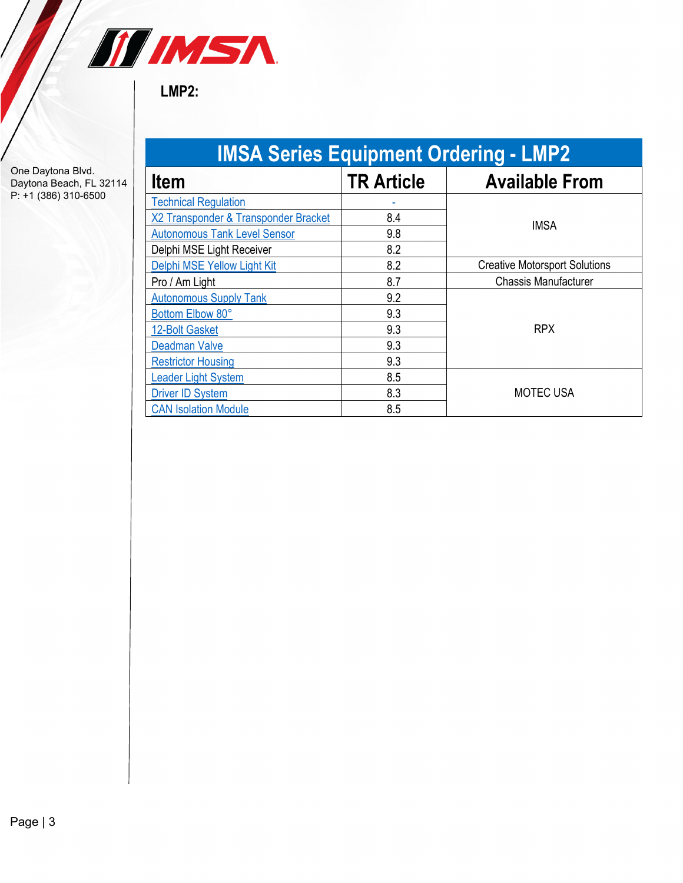

**LMP2:**

| <b>IMSA Series Equipment Ordering - LMP2</b> |                   |                                      |  |  |
|----------------------------------------------|-------------------|--------------------------------------|--|--|
| <b>Item</b>                                  | <b>TR Article</b> | <b>Available From</b>                |  |  |
| <b>Technical Regulation</b>                  |                   |                                      |  |  |
| X2 Transponder & Transponder Bracket         | 8.4               | <b>IMSA</b>                          |  |  |
| <b>Autonomous Tank Level Sensor</b>          | 9.8               |                                      |  |  |
| Delphi MSE Light Receiver                    | 8.2               |                                      |  |  |
| Delphi MSE Yellow Light Kit                  | 8.2               | <b>Creative Motorsport Solutions</b> |  |  |
| Pro / Am Light                               | 8.7               | <b>Chassis Manufacturer</b>          |  |  |
| <b>Autonomous Supply Tank</b>                | 9.2               |                                      |  |  |
| Bottom Elbow 80°                             | 9.3               |                                      |  |  |
| 12-Bolt Gasket                               | 9.3               | <b>RPX</b>                           |  |  |
| <b>Deadman Valve</b>                         | 9.3               |                                      |  |  |
| <b>Restrictor Housing</b>                    | 9.3               |                                      |  |  |
| <b>Leader Light System</b>                   | 8.5               |                                      |  |  |
| <b>Driver ID System</b>                      | 8.3               | <b>MOTEC USA</b>                     |  |  |
| <b>CAN Isolation Module</b>                  | 8.5               |                                      |  |  |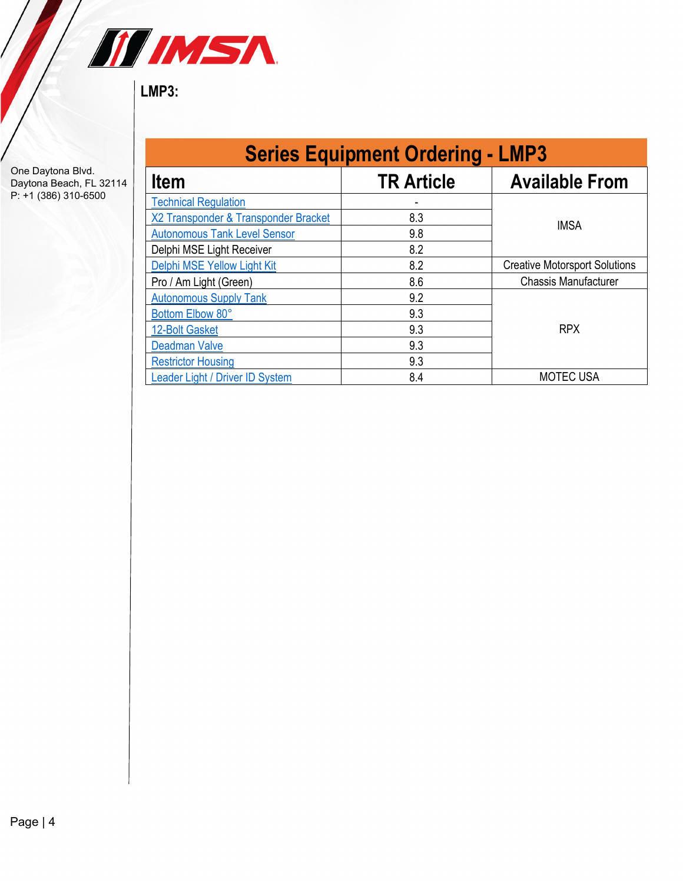

**LMP3:**

| <b>Series Equipment Ordering - LMP3</b> |                   |                                      |  |  |
|-----------------------------------------|-------------------|--------------------------------------|--|--|
| <b>Item</b>                             | <b>TR Article</b> | <b>Available From</b>                |  |  |
| <b>Technical Regulation</b>             |                   |                                      |  |  |
| X2 Transponder & Transponder Bracket    | 8.3               | <b>IMSA</b>                          |  |  |
| <b>Autonomous Tank Level Sensor</b>     | 9.8               |                                      |  |  |
| Delphi MSE Light Receiver               | 8.2               |                                      |  |  |
| Delphi MSE Yellow Light Kit             | 8.2               | <b>Creative Motorsport Solutions</b> |  |  |
| Pro / Am Light (Green)                  | 8.6               | <b>Chassis Manufacturer</b>          |  |  |
| <b>Autonomous Supply Tank</b>           | 9.2               |                                      |  |  |
| Bottom Elbow 80°                        | 9.3               | <b>RPX</b>                           |  |  |
| 12-Bolt Gasket                          | 9.3               |                                      |  |  |
| <b>Deadman Valve</b>                    | 9.3               |                                      |  |  |
| <b>Restrictor Housing</b>               | 9.3               |                                      |  |  |
| Leader Light / Driver ID System         | 8.4               | <b>MOTEC USA</b>                     |  |  |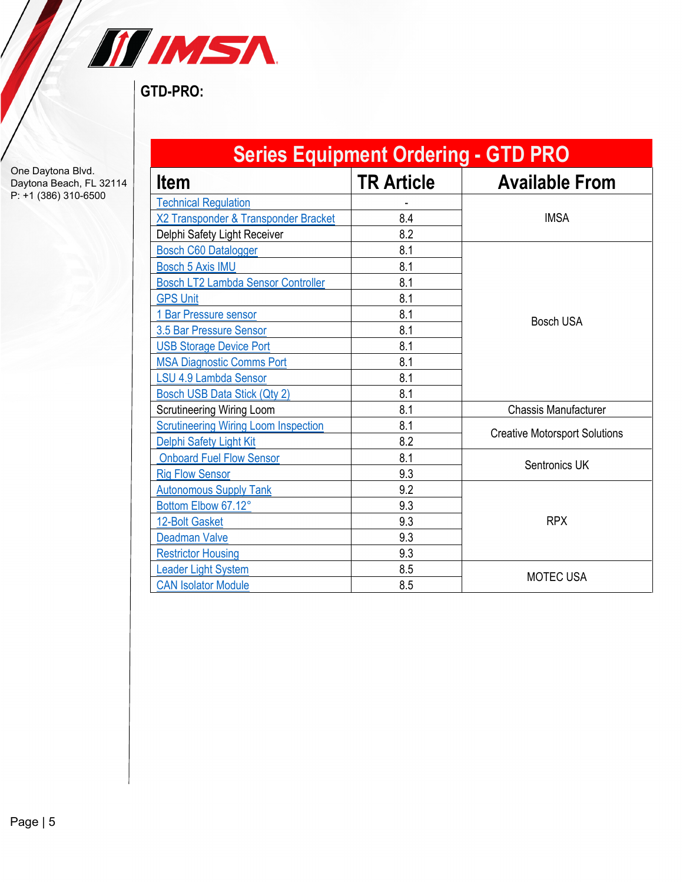

**GTD-PRO:**

| <b>Series Equipment Ordering - GTD PRO</b>  |                   |                                      |  |  |
|---------------------------------------------|-------------------|--------------------------------------|--|--|
| <b>Item</b>                                 | <b>TR Article</b> | <b>Available From</b>                |  |  |
| <b>Technical Regulation</b>                 |                   |                                      |  |  |
| X2 Transponder & Transponder Bracket        | 8.4               | <b>IMSA</b>                          |  |  |
| Delphi Safety Light Receiver                | 8.2               |                                      |  |  |
| <b>Bosch C60 Datalogger</b>                 | 8.1               |                                      |  |  |
| <b>Bosch 5 Axis IMU</b>                     | 8.1               |                                      |  |  |
| <b>Bosch LT2 Lambda Sensor Controller</b>   | 8.1               |                                      |  |  |
| <b>GPS Unit</b>                             | 8.1               |                                      |  |  |
| 1 Bar Pressure sensor                       | 8.1               | <b>Bosch USA</b>                     |  |  |
| 3.5 Bar Pressure Sensor                     | 8.1               |                                      |  |  |
| <b>USB Storage Device Port</b>              | 8.1               |                                      |  |  |
| <b>MSA Diagnostic Comms Port</b>            | 8.1               |                                      |  |  |
| <b>LSU 4.9 Lambda Sensor</b>                | 8.1               |                                      |  |  |
| <b>Bosch USB Data Stick (Qty 2)</b>         | 8.1               |                                      |  |  |
| <b>Scrutineering Wiring Loom</b>            | 8.1               | <b>Chassis Manufacturer</b>          |  |  |
| <b>Scrutineering Wiring Loom Inspection</b> | 8.1               |                                      |  |  |
| Delphi Safety Light Kit                     | 8.2               | <b>Creative Motorsport Solutions</b> |  |  |
| <b>Onboard Fuel Flow Sensor</b>             | 8.1               | Sentronics UK                        |  |  |
| <b>Rig Flow Sensor</b>                      | 9.3               |                                      |  |  |
| <b>Autonomous Supply Tank</b>               | 9.2               |                                      |  |  |
| Bottom Elbow 67.12°                         | 9.3               | <b>RPX</b>                           |  |  |
| 12-Bolt Gasket                              | 9.3               |                                      |  |  |
| <b>Deadman Valve</b>                        | 9.3               |                                      |  |  |
| <b>Restrictor Housing</b>                   | 9.3               |                                      |  |  |
| <b>Leader Light System</b>                  | 8.5               | <b>MOTEC USA</b>                     |  |  |
| <b>CAN Isolator Module</b>                  | 8.5               |                                      |  |  |